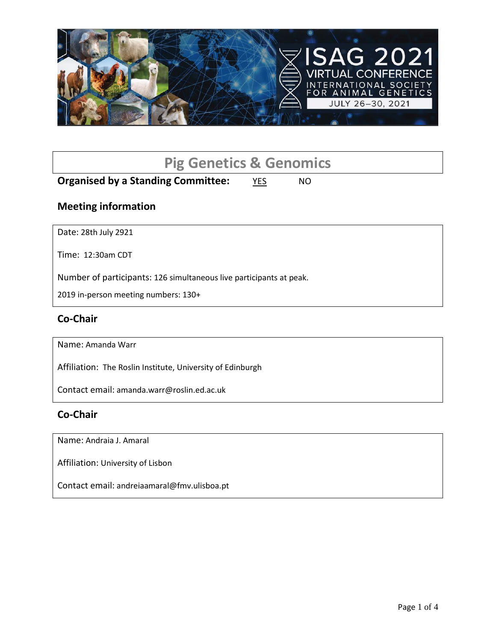

# **Pig Genetics & Genomics**

# **Organised by a Standing Committee:** YES NO

#### **Meeting information**

Date: 28th July 2921

Time: 12:30am CDT

Number of participants: 126 simultaneous live participants at peak.

2019 in-person meeting numbers: 130+

#### **Co-Chair**

Name: Amanda Warr

Affiliation: The Roslin Institute, University of Edinburgh

Contact email: amanda.warr@roslin.ed.ac.uk

#### **Co-Chair**

Name: Andraia J. Amaral

Affiliation: University of Lisbon

Contact email: andreiaamaral@fmv.ulisboa.pt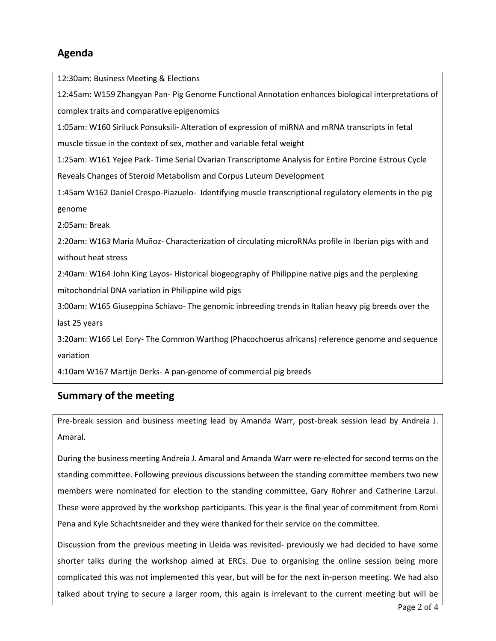# **Agenda**

12:30am: Business Meeting & Elections 12:45am: W159 Zhangyan Pan- Pig Genome Functional Annotation enhances biological interpretations of complex traits and comparative epigenomics 1:05am: W160 Siriluck Ponsuksili- Alteration of expression of miRNA and mRNA transcripts in fetal muscle tissue in the context of sex, mother and variable fetal weight 1:25am: W161 Yejee Park- Time Serial Ovarian Transcriptome Analysis for Entire Porcine Estrous Cycle Reveals Changes of Steroid Metabolism and Corpus Luteum Development 1:45am W162 Daniel Crespo-Piazuelo- Identifying muscle transcriptional regulatory elements in the pig genome 2:05am: Break 2:20am: W163 Maria Muñoz- Characterization of circulating microRNAs profile in Iberian pigs with and without heat stress 2:40am: W164 John King Layos- Historical biogeography of Philippine native pigs and the perplexing mitochondrial DNA variation in Philippine wild pigs 3:00am: W165 Giuseppina Schiavo- The genomic inbreeding trends in Italian heavy pig breeds over the last 25 years 3:20am: W166 Lel Eory- The Common Warthog (Phacochoerus africans) reference genome and sequence variation 4:10am W167 Martijn Derks- A pan-genome of commercial pig breeds

# **Summary of the meeting**

Pre-break session and business meeting lead by Amanda Warr, post-break session lead by Andreia J. Amaral.

During the business meeting Andreia J. Amaral and Amanda Warr were re-elected for second terms on the standing committee. Following previous discussions between the standing committee members two new members were nominated for election to the standing committee, Gary Rohrer and Catherine Larzul. These were approved by the workshop participants. This year is the final year of commitment from Romi Pena and Kyle Schachtsneider and they were thanked for their service on the committee.

Discussion from the previous meeting in Lleida was revisited- previously we had decided to have some shorter talks during the workshop aimed at ERCs. Due to organising the online session being more complicated this was not implemented this year, but will be for the next in-person meeting. We had also talked about trying to secure a larger room, this again is irrelevant to the current meeting but will be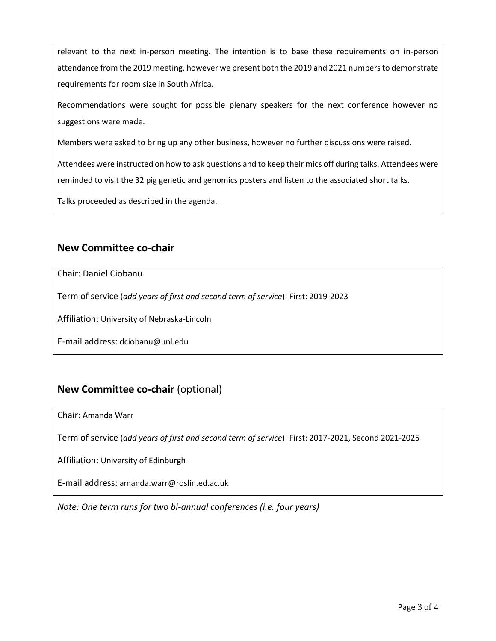relevant to the next in-person meeting. The intention is to base these requirements on in-person attendance from the 2019 meeting, however we present both the 2019 and 2021 numbers to demonstrate requirements for room size in South Africa.

Recommendations were sought for possible plenary speakers for the next conference however no suggestions were made.

Members were asked to bring up any other business, however no further discussions were raised.

Attendees were instructed on how to ask questions and to keep their mics off during talks. Attendees were reminded to visit the 32 pig genetic and genomics posters and listen to the associated short talks.

Talks proceeded as described in the agenda.

#### **New Committee co-chair**

Chair: Daniel Ciobanu

Term of service (*add years of first and second term of service*): First: 2019-2023

Affiliation: University of Nebraska-Lincoln

E-mail address: dciobanu@unl.edu

# **New Committee co-chair** (optional)

Chair: Amanda Warr

Term of service (*add years of first and second term of service*): First: 2017-2021, Second 2021-2025

Affiliation: University of Edinburgh

E-mail address: amanda.warr@roslin.ed.ac.uk

*Note: One term runs for two bi-annual conferences (i.e. four years)*